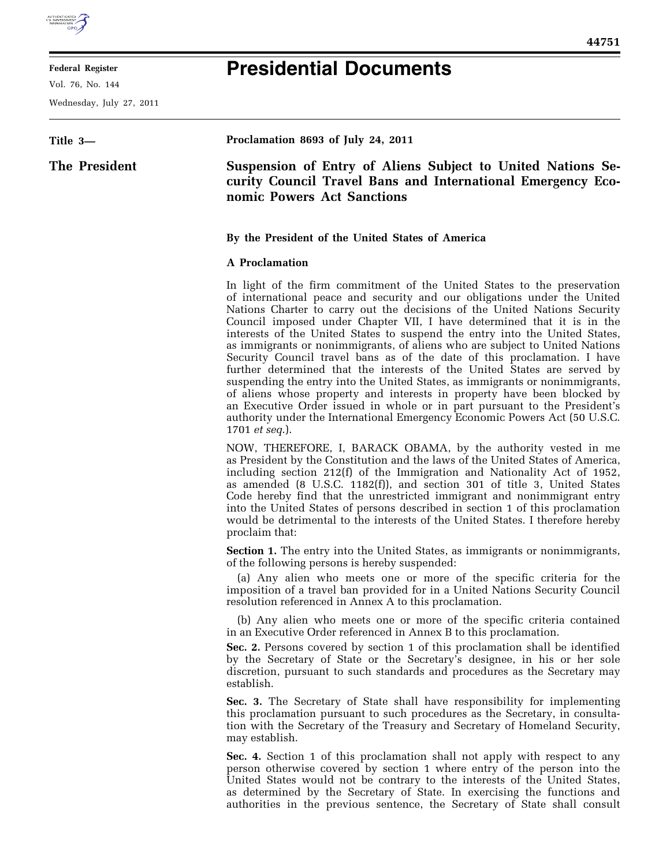

#### **Federal Register**

Vol. 76, No. 144

Wednesday, July 27, 2011

# **Presidential Documents**

## **Title 3— The President Proclamation 8693 of July 24, 2011 Suspension of Entry of Aliens Subject to United Nations Security Council Travel Bans and International Emergency Economic Powers Act Sanctions By the President of the United States of America A Proclamation**

In light of the firm commitment of the United States to the preservation of international peace and security and our obligations under the United Nations Charter to carry out the decisions of the United Nations Security Council imposed under Chapter VII, I have determined that it is in the interests of the United States to suspend the entry into the United States, as immigrants or nonimmigrants, of aliens who are subject to United Nations Security Council travel bans as of the date of this proclamation. I have further determined that the interests of the United States are served by suspending the entry into the United States, as immigrants or nonimmigrants, of aliens whose property and interests in property have been blocked by an Executive Order issued in whole or in part pursuant to the President's authority under the International Emergency Economic Powers Act (50 U.S.C. 1701 *et seq*.).

NOW, THEREFORE, I, BARACK OBAMA, by the authority vested in me as President by the Constitution and the laws of the United States of America, including section 212(f) of the Immigration and Nationality Act of 1952, as amended (8 U.S.C. 1182(f)), and section 301 of title 3, United States Code hereby find that the unrestricted immigrant and nonimmigrant entry into the United States of persons described in section 1 of this proclamation would be detrimental to the interests of the United States. I therefore hereby proclaim that:

**Section 1.** The entry into the United States, as immigrants or nonimmigrants, of the following persons is hereby suspended:

(a) Any alien who meets one or more of the specific criteria for the imposition of a travel ban provided for in a United Nations Security Council resolution referenced in Annex A to this proclamation.

(b) Any alien who meets one or more of the specific criteria contained in an Executive Order referenced in Annex B to this proclamation.

**Sec. 2.** Persons covered by section 1 of this proclamation shall be identified by the Secretary of State or the Secretary's designee, in his or her sole discretion, pursuant to such standards and procedures as the Secretary may establish.

**Sec. 3.** The Secretary of State shall have responsibility for implementing this proclamation pursuant to such procedures as the Secretary, in consultation with the Secretary of the Treasury and Secretary of Homeland Security, may establish.

**Sec. 4.** Section 1 of this proclamation shall not apply with respect to any person otherwise covered by section 1 where entry of the person into the United States would not be contrary to the interests of the United States, as determined by the Secretary of State. In exercising the functions and authorities in the previous sentence, the Secretary of State shall consult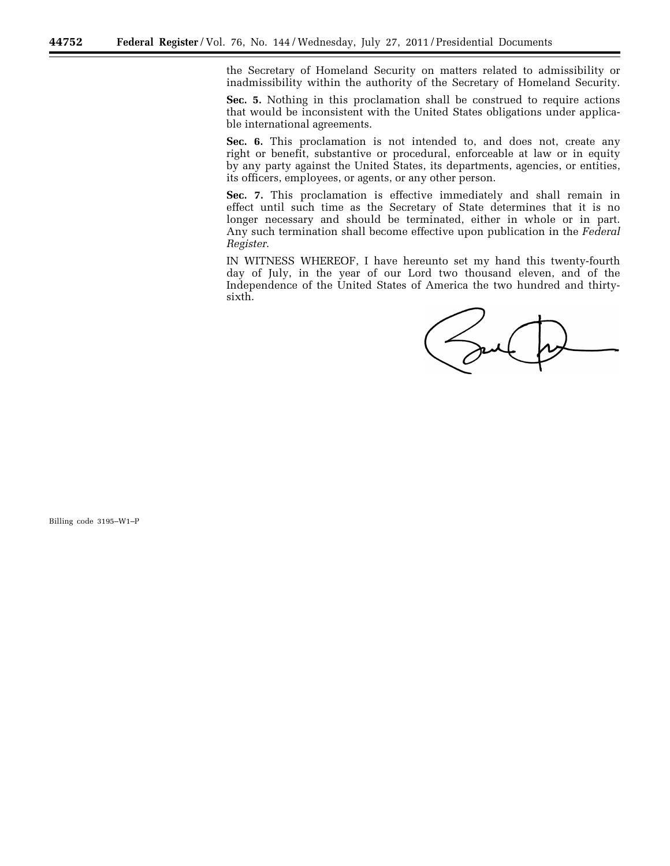the Secretary of Homeland Security on matters related to admissibility or inadmissibility within the authority of the Secretary of Homeland Security.

**Sec. 5.** Nothing in this proclamation shall be construed to require actions that would be inconsistent with the United States obligations under applicable international agreements.

**Sec. 6.** This proclamation is not intended to, and does not, create any right or benefit, substantive or procedural, enforceable at law or in equity by any party against the United States, its departments, agencies, or entities, its officers, employees, or agents, or any other person.

**Sec. 7.** This proclamation is effective immediately and shall remain in effect until such time as the Secretary of State determines that it is no longer necessary and should be terminated, either in whole or in part. Any such termination shall become effective upon publication in the *Federal Register*.

IN WITNESS WHEREOF, I have hereunto set my hand this twenty-fourth day of July, in the year of our Lord two thousand eleven, and of the Independence of the United States of America the two hundred and thirtysixth.

Saul

Billing code 3195–W1–P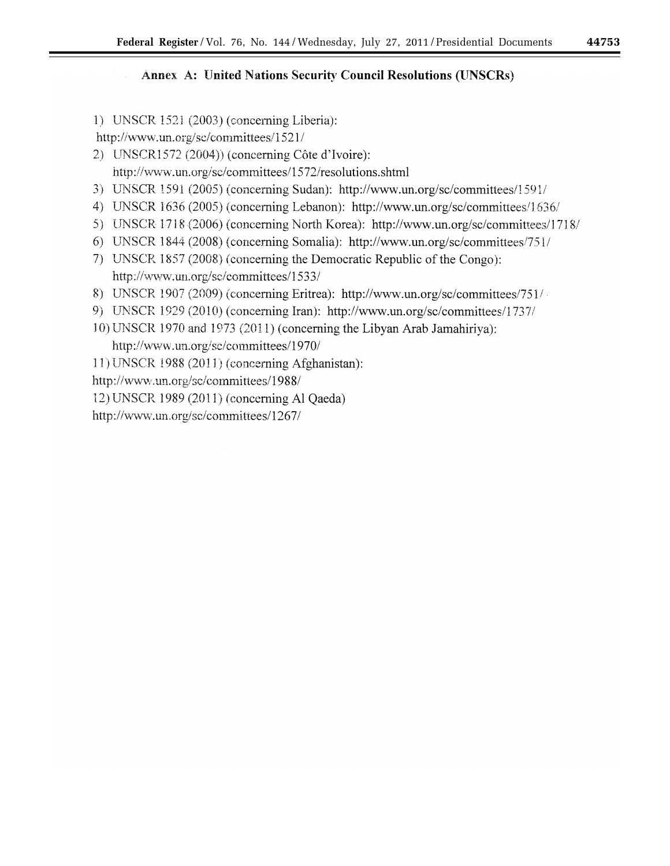### Annex A: United Nations Security Council Resolutions (UNSCRs)

1) UNSCR 1521 (2003) (concerning Liberia):

http://www.un.org/sc/committees/1521/

- 2) UNSCR1572 (2004)) (concerning Côte d'Ivoire): http://www.un.org/sc/committees/1572/resolutions.shtml
- 3) UNSCR 1591 (2005) (concerning Sudan): http://www.un.org/sc/committees/1591/
- 4) UNSCR 1636 (2005) (concerning Lebanon): http://www.un.org/sc/committees/1636/
- 5) UNSCR 1718 (2006) (concerning North Korea): http://www.un.org/sc/committees/1718/
- 6) UNSCR 1844 (2008) (concerning Somalia): http://www.un.org/sc/committees/751/
- 7) UNSCR 1857 (2008) (concerning the Democratic Republic of the Congo): http://www.un.org/sc/committees/1533/
- 8) UNSCR 1907 (2009) (concerning Eritrea): http://www.un.org/sc/committees/751/
- 9) UNSCR 1929 (2010) (concerning Iran): http://www.un.org/sc/committees/1737/
- 10) UNSCR 1970 and 1973 (2011) (concerning the Libyan Arab Jamahiriya): http://www.un.org/sc/committees/1970/

11) UNSCR 1988 (2011) (concerning Afghanistan):

http://www.un.org/sc/committees/1988/

12) UNSCR 1989 (2011) (concerning Al Qaeda)

http://www.un.org/sc/committees/1267/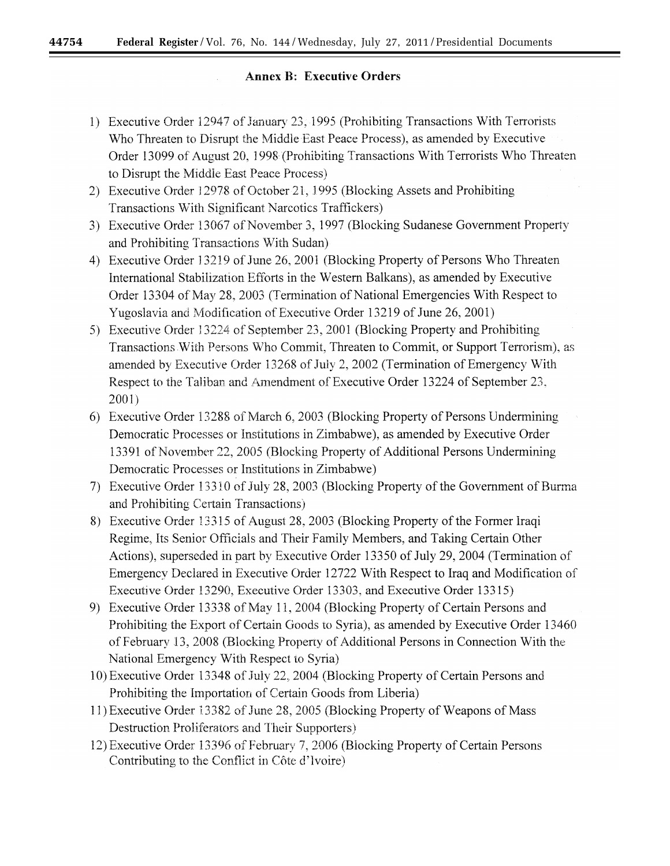44754

### **Annex B: Executive Orders**

- 1) Executive Order 12947 of January 23, 1995 (Prohibiting Transactions With Terrorists Who Threaten to Disrupt the Middle East Peace Process), as amended by Executive Order 13099 of August 20, 1998 (Prohibiting Transactions With Terrorists Who Threaten to Disrupt the Middle East Peace Process)
- 2) Executive Order 12978 of October 21, 1995 (Blocking Assets and Prohibiting Transactions With Significant Narcotics Traffickers)
- 3) Executive Order 13067 of November 3, 1997 (Blocking Sudanese Government Property and Prohibiting Transactions With Sudan)
- 4) Executive Order 13219 of June 26, 2001 (Blocking Property of Persons Who Threaten International Stabilization Efforts in the Western Balkans), as amended by Executive Order 13304 of May 28, 2003 (Termination of National Emergencies With Respect to Yugoslavia and Modification of Executive Order 13219 of June 26, 2001)
- 5) Executive Order 13224 of September 23, 2001 (Blocking Property and Prohibiting Transactions With Persons Who Commit, Threaten to Commit, or Support Terrorism), as amended by Executive Order 13268 of July 2, 2002 (Termination of Emergency With Respect to the Taliban and Amendment of Executive Order 13224 of September 23,  $2001$
- 6) Executive Order 13288 of March 6, 2003 (Blocking Property of Persons Undermining Democratic Processes or Institutions in Zimbabwe), as amended by Executive Order 13391 of November 22, 2005 (Blocking Property of Additional Persons Undermining Democratic Processes or Institutions in Zimbabwe)
- 7) Executive Order 13310 of July 28, 2003 (Blocking Property of the Government of Burma and Prohibiting Certain Transactions)
- 8) Executive Order 13315 of August 28, 2003 (Blocking Property of the Former Iraqi Regime, Its Senior Officials and Their Family Members, and Taking Certain Other Actions), superseded in part by Executive Order 13350 of July 29, 2004 (Termination of Emergency Declared in Executive Order 12722 With Respect to Iraq and Modification of Executive Order 13290, Executive Order 13303, and Executive Order 13315)
- 9) Executive Order 13338 of May 11, 2004 (Blocking Property of Certain Persons and Prohibiting the Export of Certain Goods to Syria), as amended by Executive Order 13460 of February 13, 2008 (Blocking Property of Additional Persons in Connection With the National Emergency With Respect to Syria)
- 10) Executive Order 13348 of July 22, 2004 (Blocking Property of Certain Persons and Prohibiting the Importation of Certain Goods from Liberia)
- 11) Executive Order 13382 of June 28, 2005 (Blocking Property of Weapons of Mass Destruction Proliferators and Their Supporters)
- 12) Executive Order 13396 of February 7, 2006 (Blocking Property of Certain Persons Contributing to the Conflict in Côte d'Ivoire)